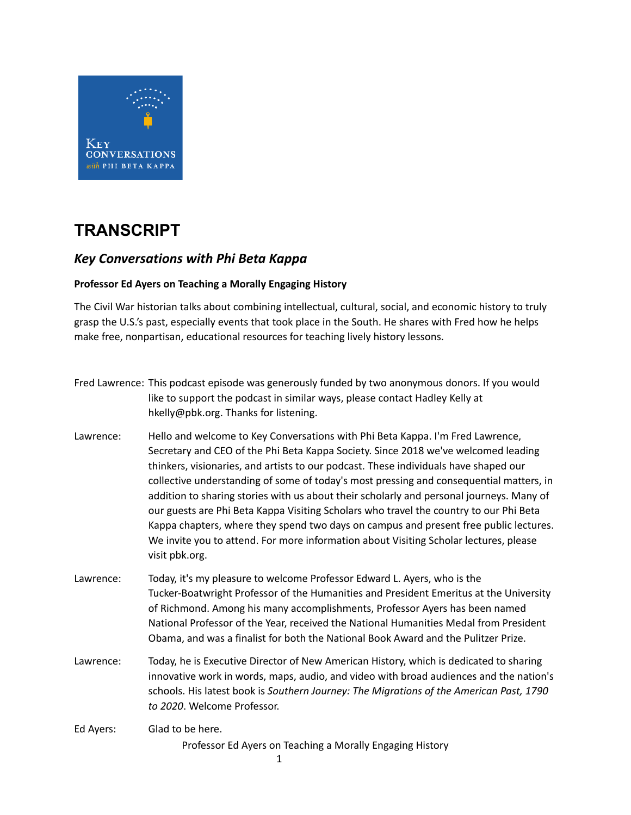

## **TRANSCRIPT**

## *Key Conversations with Phi Beta Kappa*

## **Professor Ed Ayers on Teaching a Morally Engaging History**

The Civil War historian talks about combining intellectual, cultural, social, and economic history to truly grasp the U.S.'s past, especially events that took place in the South. He shares with Fred how he helps make free, nonpartisan, educational resources for teaching lively history lessons.

|           | Fred Lawrence: This podcast episode was generously funded by two anonymous donors. If you would<br>like to support the podcast in similar ways, please contact Hadley Kelly at<br>hkelly@pbk.org. Thanks for listening.                                                                                                                                                                                                                                                                                                                                                                                                                                                                                                                           |
|-----------|---------------------------------------------------------------------------------------------------------------------------------------------------------------------------------------------------------------------------------------------------------------------------------------------------------------------------------------------------------------------------------------------------------------------------------------------------------------------------------------------------------------------------------------------------------------------------------------------------------------------------------------------------------------------------------------------------------------------------------------------------|
| Lawrence: | Hello and welcome to Key Conversations with Phi Beta Kappa. I'm Fred Lawrence,<br>Secretary and CEO of the Phi Beta Kappa Society. Since 2018 we've welcomed leading<br>thinkers, visionaries, and artists to our podcast. These individuals have shaped our<br>collective understanding of some of today's most pressing and consequential matters, in<br>addition to sharing stories with us about their scholarly and personal journeys. Many of<br>our guests are Phi Beta Kappa Visiting Scholars who travel the country to our Phi Beta<br>Kappa chapters, where they spend two days on campus and present free public lectures.<br>We invite you to attend. For more information about Visiting Scholar lectures, please<br>visit pbk.org. |
| Lawrence: | Today, it's my pleasure to welcome Professor Edward L. Ayers, who is the<br>Tucker-Boatwright Professor of the Humanities and President Emeritus at the University<br>of Richmond. Among his many accomplishments, Professor Ayers has been named<br>National Professor of the Year, received the National Humanities Medal from President<br>Obama, and was a finalist for both the National Book Award and the Pulitzer Prize.                                                                                                                                                                                                                                                                                                                  |
| Lawrence: | Today, he is Executive Director of New American History, which is dedicated to sharing<br>innovative work in words, maps, audio, and video with broad audiences and the nation's<br>schools. His latest book is Southern Journey: The Migrations of the American Past, 1790<br>to 2020. Welcome Professor.                                                                                                                                                                                                                                                                                                                                                                                                                                        |
| Ed Ayers: | Glad to be here.<br>Professor Ed Ayers on Teaching a Morally Engaging History                                                                                                                                                                                                                                                                                                                                                                                                                                                                                                                                                                                                                                                                     |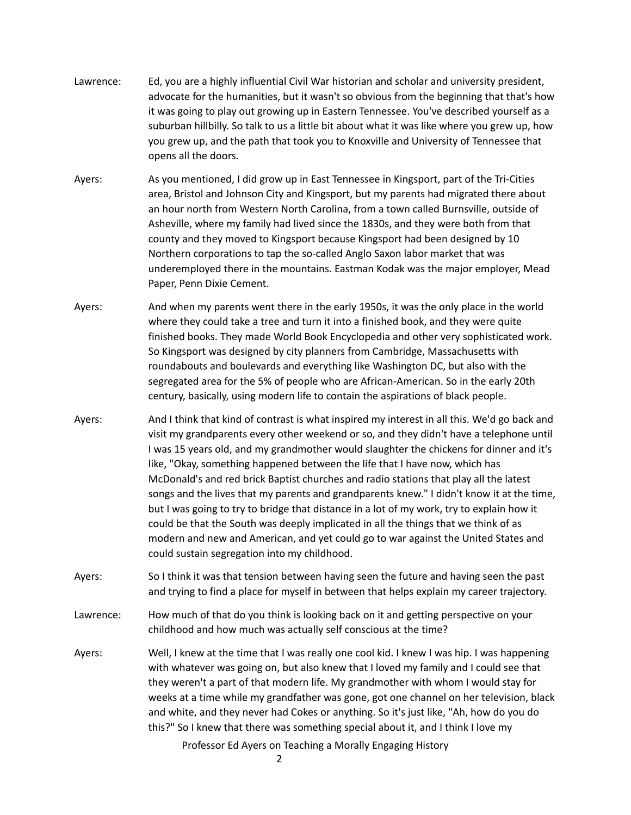- Lawrence: Ed, you are a highly influential Civil War historian and scholar and university president, advocate for the humanities, but it wasn't so obvious from the beginning that that's how it was going to play out growing up in Eastern Tennessee. You've described yourself as a suburban hillbilly. So talk to us a little bit about what it was like where you grew up, how you grew up, and the path that took you to Knoxville and University of Tennessee that opens all the doors.
- Ayers: As you mentioned, I did grow up in East Tennessee in Kingsport, part of the Tri-Cities area, Bristol and Johnson City and Kingsport, but my parents had migrated there about an hour north from Western North Carolina, from a town called Burnsville, outside of Asheville, where my family had lived since the 1830s, and they were both from that county and they moved to Kingsport because Kingsport had been designed by 10 Northern corporations to tap the so-called Anglo Saxon labor market that was underemployed there in the mountains. Eastman Kodak was the major employer, Mead Paper, Penn Dixie Cement.
- Ayers: And when my parents went there in the early 1950s, it was the only place in the world where they could take a tree and turn it into a finished book, and they were quite finished books. They made World Book Encyclopedia and other very sophisticated work. So Kingsport was designed by city planners from Cambridge, Massachusetts with roundabouts and boulevards and everything like Washington DC, but also with the segregated area for the 5% of people who are African-American. So in the early 20th century, basically, using modern life to contain the aspirations of black people.
- Ayers: And I think that kind of contrast is what inspired my interest in all this. We'd go back and visit my grandparents every other weekend or so, and they didn't have a telephone until I was 15 years old, and my grandmother would slaughter the chickens for dinner and it's like, "Okay, something happened between the life that I have now, which has McDonald's and red brick Baptist churches and radio stations that play all the latest songs and the lives that my parents and grandparents knew." I didn't know it at the time, but I was going to try to bridge that distance in a lot of my work, try to explain how it could be that the South was deeply implicated in all the things that we think of as modern and new and American, and yet could go to war against the United States and could sustain segregation into my childhood.
- Ayers: So I think it was that tension between having seen the future and having seen the past and trying to find a place for myself in between that helps explain my career trajectory.
- Lawrence: How much of that do you think is looking back on it and getting perspective on your childhood and how much was actually self conscious at the time?
- Ayers: Well, I knew at the time that I was really one cool kid. I knew I was hip. I was happening with whatever was going on, but also knew that I loved my family and I could see that they weren't a part of that modern life. My grandmother with whom I would stay for weeks at a time while my grandfather was gone, got one channel on her television, black and white, and they never had Cokes or anything. So it's just like, "Ah, how do you do this?" So I knew that there was something special about it, and I think I love my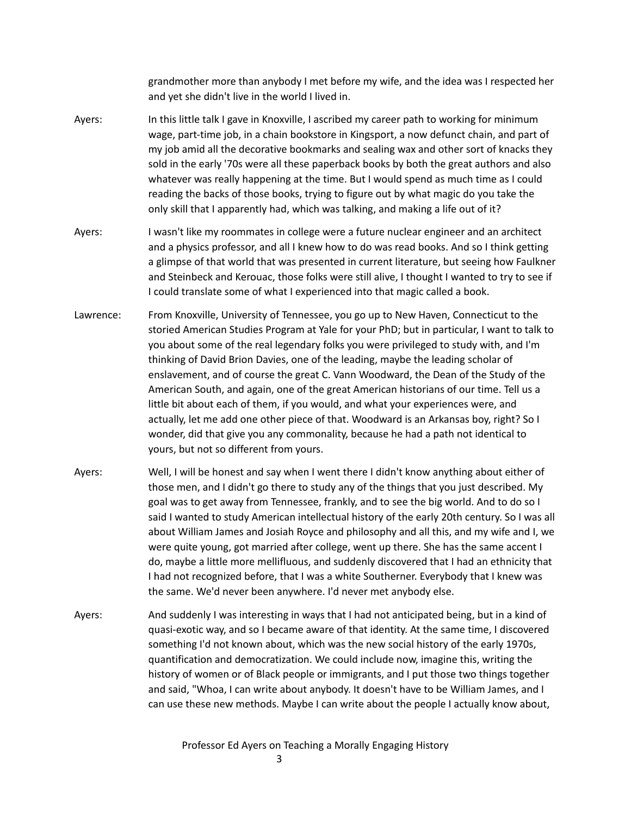grandmother more than anybody I met before my wife, and the idea was I respected her and yet she didn't live in the world I lived in.

- Ayers: In this little talk I gave in Knoxville, I ascribed my career path to working for minimum wage, part-time job, in a chain bookstore in Kingsport, a now defunct chain, and part of my job amid all the decorative bookmarks and sealing wax and other sort of knacks they sold in the early '70s were all these paperback books by both the great authors and also whatever was really happening at the time. But I would spend as much time as I could reading the backs of those books, trying to figure out by what magic do you take the only skill that I apparently had, which was talking, and making a life out of it?
- Ayers: I wasn't like my roommates in college were a future nuclear engineer and an architect and a physics professor, and all I knew how to do was read books. And so I think getting a glimpse of that world that was presented in current literature, but seeing how Faulkner and Steinbeck and Kerouac, those folks were still alive, I thought I wanted to try to see if I could translate some of what I experienced into that magic called a book.
- Lawrence: From Knoxville, University of Tennessee, you go up to New Haven, Connecticut to the storied American Studies Program at Yale for your PhD; but in particular, I want to talk to you about some of the real legendary folks you were privileged to study with, and I'm thinking of David Brion Davies, one of the leading, maybe the leading scholar of enslavement, and of course the great C. Vann Woodward, the Dean of the Study of the American South, and again, one of the great American historians of our time. Tell us a little bit about each of them, if you would, and what your experiences were, and actually, let me add one other piece of that. Woodward is an Arkansas boy, right? So I wonder, did that give you any commonality, because he had a path not identical to yours, but not so different from yours.
- Ayers: Well, I will be honest and say when I went there I didn't know anything about either of those men, and I didn't go there to study any of the things that you just described. My goal was to get away from Tennessee, frankly, and to see the big world. And to do so I said I wanted to study American intellectual history of the early 20th century. So I was all about William James and Josiah Royce and philosophy and all this, and my wife and I, we were quite young, got married after college, went up there. She has the same accent I do, maybe a little more mellifluous, and suddenly discovered that I had an ethnicity that I had not recognized before, that I was a white Southerner. Everybody that I knew was the same. We'd never been anywhere. I'd never met anybody else.
- Ayers: And suddenly I was interesting in ways that I had not anticipated being, but in a kind of quasi-exotic way, and so I became aware of that identity. At the same time, I discovered something I'd not known about, which was the new social history of the early 1970s, quantification and democratization. We could include now, imagine this, writing the history of women or of Black people or immigrants, and I put those two things together and said, "Whoa, I can write about anybody. It doesn't have to be William James, and I can use these new methods. Maybe I can write about the people I actually know about,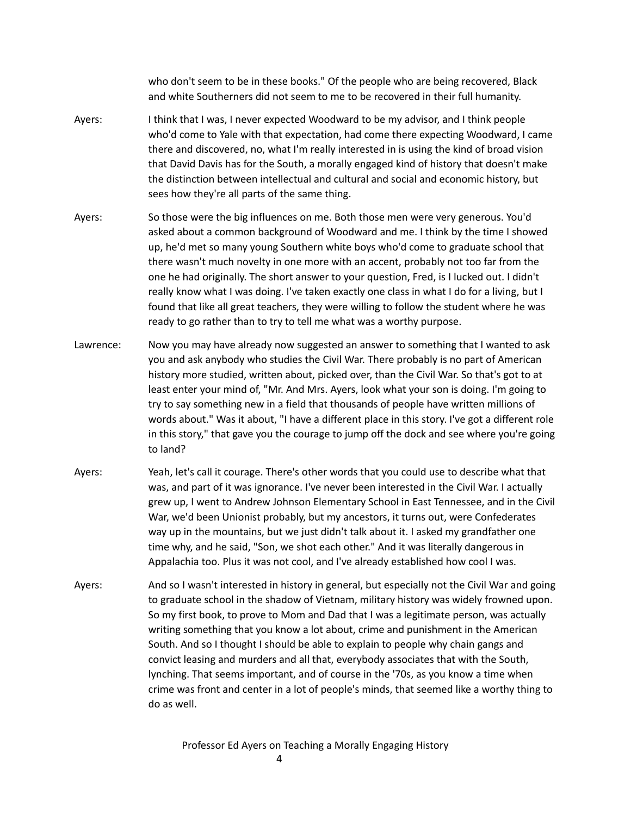who don't seem to be in these books." Of the people who are being recovered, Black and white Southerners did not seem to me to be recovered in their full humanity.

- Ayers: I think that I was, I never expected Woodward to be my advisor, and I think people who'd come to Yale with that expectation, had come there expecting Woodward, I came there and discovered, no, what I'm really interested in is using the kind of broad vision that David Davis has for the South, a morally engaged kind of history that doesn't make the distinction between intellectual and cultural and social and economic history, but sees how they're all parts of the same thing.
- Ayers: So those were the big influences on me. Both those men were very generous. You'd asked about a common background of Woodward and me. I think by the time I showed up, he'd met so many young Southern white boys who'd come to graduate school that there wasn't much novelty in one more with an accent, probably not too far from the one he had originally. The short answer to your question, Fred, is I lucked out. I didn't really know what I was doing. I've taken exactly one class in what I do for a living, but I found that like all great teachers, they were willing to follow the student where he was ready to go rather than to try to tell me what was a worthy purpose.
- Lawrence: Now you may have already now suggested an answer to something that I wanted to ask you and ask anybody who studies the Civil War. There probably is no part of American history more studied, written about, picked over, than the Civil War. So that's got to at least enter your mind of, "Mr. And Mrs. Ayers, look what your son is doing. I'm going to try to say something new in a field that thousands of people have written millions of words about." Was it about, "I have a different place in this story. I've got a different role in this story," that gave you the courage to jump off the dock and see where you're going to land?
- Ayers: Yeah, let's call it courage. There's other words that you could use to describe what that was, and part of it was ignorance. I've never been interested in the Civil War. I actually grew up, I went to Andrew Johnson Elementary School in East Tennessee, and in the Civil War, we'd been Unionist probably, but my ancestors, it turns out, were Confederates way up in the mountains, but we just didn't talk about it. I asked my grandfather one time why, and he said, "Son, we shot each other." And it was literally dangerous in Appalachia too. Plus it was not cool, and I've already established how cool I was.
- Ayers: And so I wasn't interested in history in general, but especially not the Civil War and going to graduate school in the shadow of Vietnam, military history was widely frowned upon. So my first book, to prove to Mom and Dad that I was a legitimate person, was actually writing something that you know a lot about, crime and punishment in the American South. And so I thought I should be able to explain to people why chain gangs and convict leasing and murders and all that, everybody associates that with the South, lynching. That seems important, and of course in the '70s, as you know a time when crime was front and center in a lot of people's minds, that seemed like a worthy thing to do as well.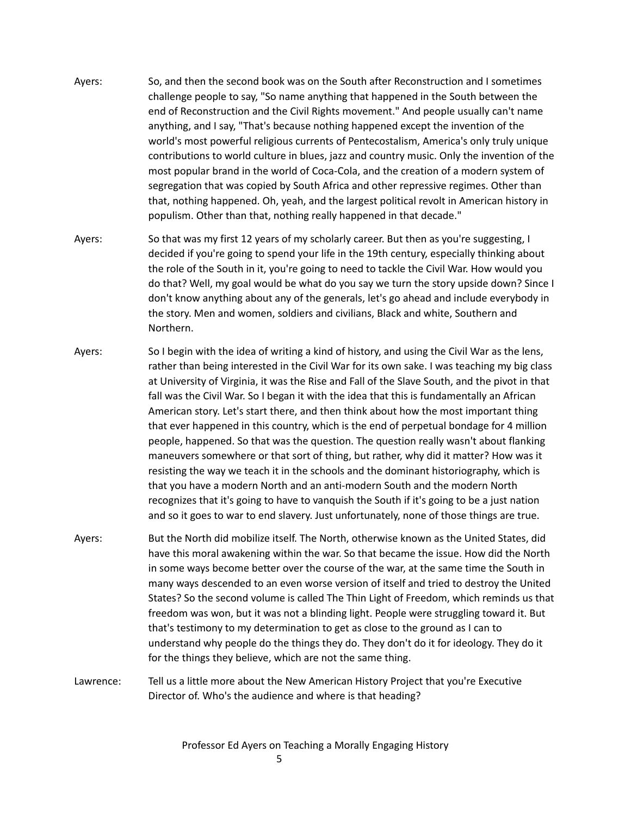- Ayers: So, and then the second book was on the South after Reconstruction and I sometimes challenge people to say, "So name anything that happened in the South between the end of Reconstruction and the Civil Rights movement." And people usually can't name anything, and I say, "That's because nothing happened except the invention of the world's most powerful religious currents of Pentecostalism, America's only truly unique contributions to world culture in blues, jazz and country music. Only the invention of the most popular brand in the world of Coca-Cola, and the creation of a modern system of segregation that was copied by South Africa and other repressive regimes. Other than that, nothing happened. Oh, yeah, and the largest political revolt in American history in populism. Other than that, nothing really happened in that decade."
- Ayers: So that was my first 12 years of my scholarly career. But then as you're suggesting, I decided if you're going to spend your life in the 19th century, especially thinking about the role of the South in it, you're going to need to tackle the Civil War. How would you do that? Well, my goal would be what do you say we turn the story upside down? Since I don't know anything about any of the generals, let's go ahead and include everybody in the story. Men and women, soldiers and civilians, Black and white, Southern and Northern.
- Ayers: So I begin with the idea of writing a kind of history, and using the Civil War as the lens, rather than being interested in the Civil War for its own sake. I was teaching my big class at University of Virginia, it was the Rise and Fall of the Slave South, and the pivot in that fall was the Civil War. So I began it with the idea that this is fundamentally an African American story. Let's start there, and then think about how the most important thing that ever happened in this country, which is the end of perpetual bondage for 4 million people, happened. So that was the question. The question really wasn't about flanking maneuvers somewhere or that sort of thing, but rather, why did it matter? How was it resisting the way we teach it in the schools and the dominant historiography, which is that you have a modern North and an anti-modern South and the modern North recognizes that it's going to have to vanquish the South if it's going to be a just nation and so it goes to war to end slavery. Just unfortunately, none of those things are true.
- Ayers: But the North did mobilize itself. The North, otherwise known as the United States, did have this moral awakening within the war. So that became the issue. How did the North in some ways become better over the course of the war, at the same time the South in many ways descended to an even worse version of itself and tried to destroy the United States? So the second volume is called The Thin Light of Freedom, which reminds us that freedom was won, but it was not a blinding light. People were struggling toward it. But that's testimony to my determination to get as close to the ground as I can to understand why people do the things they do. They don't do it for ideology. They do it for the things they believe, which are not the same thing.
- Lawrence: Tell us a little more about the New American History Project that you're Executive Director of. Who's the audience and where is that heading?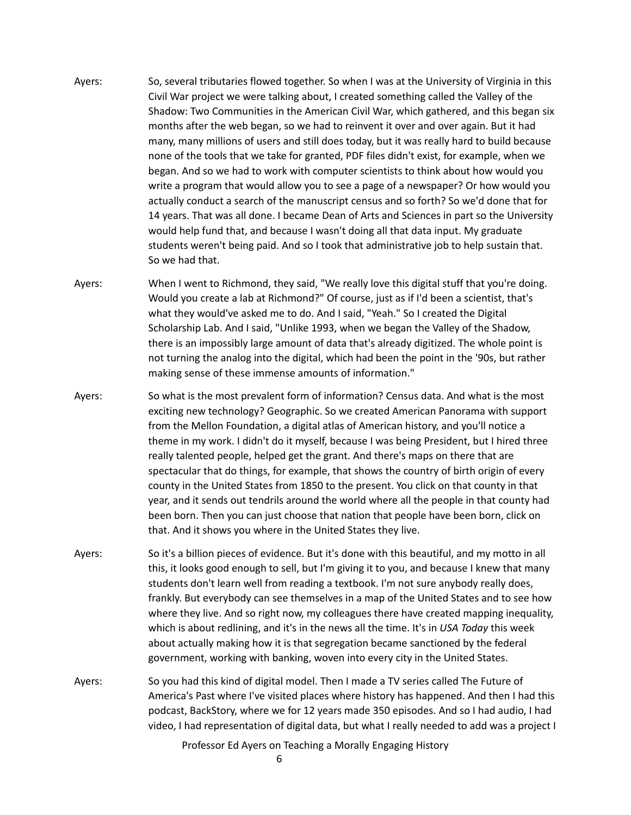- Ayers: So, several tributaries flowed together. So when I was at the University of Virginia in this Civil War project we were talking about, I created something called the Valley of the Shadow: Two Communities in the American Civil War, which gathered, and this began six months after the web began, so we had to reinvent it over and over again. But it had many, many millions of users and still does today, but it was really hard to build because none of the tools that we take for granted, PDF files didn't exist, for example, when we began. And so we had to work with computer scientists to think about how would you write a program that would allow you to see a page of a newspaper? Or how would you actually conduct a search of the manuscript census and so forth? So we'd done that for 14 years. That was all done. I became Dean of Arts and Sciences in part so the University would help fund that, and because I wasn't doing all that data input. My graduate students weren't being paid. And so I took that administrative job to help sustain that. So we had that.
- Ayers: When I went to Richmond, they said, "We really love this digital stuff that you're doing. Would you create a lab at Richmond?" Of course, just as if I'd been a scientist, that's what they would've asked me to do. And I said, "Yeah." So I created the Digital Scholarship Lab. And I said, "Unlike 1993, when we began the Valley of the Shadow, there is an impossibly large amount of data that's already digitized. The whole point is not turning the analog into the digital, which had been the point in the '90s, but rather making sense of these immense amounts of information."
- Ayers: So what is the most prevalent form of information? Census data. And what is the most exciting new technology? Geographic. So we created American Panorama with support from the Mellon Foundation, a digital atlas of American history, and you'll notice a theme in my work. I didn't do it myself, because I was being President, but I hired three really talented people, helped get the grant. And there's maps on there that are spectacular that do things, for example, that shows the country of birth origin of every county in the United States from 1850 to the present. You click on that county in that year, and it sends out tendrils around the world where all the people in that county had been born. Then you can just choose that nation that people have been born, click on that. And it shows you where in the United States they live.
- Ayers: So it's a billion pieces of evidence. But it's done with this beautiful, and my motto in all this, it looks good enough to sell, but I'm giving it to you, and because I knew that many students don't learn well from reading a textbook. I'm not sure anybody really does, frankly. But everybody can see themselves in a map of the United States and to see how where they live. And so right now, my colleagues there have created mapping inequality, which is about redlining, and it's in the news all the time. It's in *USA Today* this week about actually making how it is that segregation became sanctioned by the federal government, working with banking, woven into every city in the United States.
- Ayers: So you had this kind of digital model. Then I made a TV series called The Future of America's Past where I've visited places where history has happened. And then I had this podcast, BackStory, where we for 12 years made 350 episodes. And so I had audio, I had video, I had representation of digital data, but what I really needed to add was a project I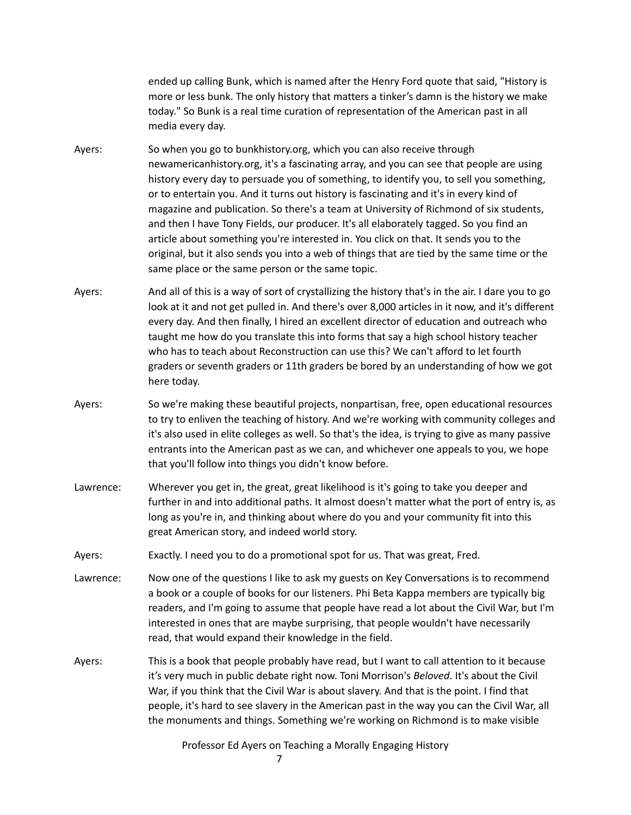ended up calling Bunk, which is named after the Henry Ford quote that said, "History is more or less bunk. The only history that matters a tinker's damn is the history we make today." So Bunk is a real time curation of representation of the American past in all media every day.

- Ayers: So when you go to bunkhistory.org, which you can also receive through newamericanhistory.org, it's a fascinating array, and you can see that people are using history every day to persuade you of something, to identify you, to sell you something, or to entertain you. And it turns out history is fascinating and it's in every kind of magazine and publication. So there's a team at University of Richmond of six students, and then I have Tony Fields, our producer. It's all elaborately tagged. So you find an article about something you're interested in. You click on that. It sends you to the original, but it also sends you into a web of things that are tied by the same time or the same place or the same person or the same topic.
- Ayers: And all of this is a way of sort of crystallizing the history that's in the air. I dare you to go look at it and not get pulled in. And there's over 8,000 articles in it now, and it's different every day. And then finally, I hired an excellent director of education and outreach who taught me how do you translate this into forms that say a high school history teacher who has to teach about Reconstruction can use this? We can't afford to let fourth graders or seventh graders or 11th graders be bored by an understanding of how we got here today.
- Ayers: So we're making these beautiful projects, nonpartisan, free, open educational resources to try to enliven the teaching of history. And we're working with community colleges and it's also used in elite colleges as well. So that's the idea, is trying to give as many passive entrants into the American past as we can, and whichever one appeals to you, we hope that you'll follow into things you didn't know before.
- Lawrence: Wherever you get in, the great, great likelihood is it's going to take you deeper and further in and into additional paths. It almost doesn't matter what the port of entry is, as long as you're in, and thinking about where do you and your community fit into this great American story, and indeed world story.
- Ayers: Exactly. I need you to do a promotional spot for us. That was great, Fred.
- Lawrence: Now one of the questions I like to ask my guests on Key Conversations is to recommend a book or a couple of books for our listeners. Phi Beta Kappa members are typically big readers, and I'm going to assume that people have read a lot about the Civil War, but I'm interested in ones that are maybe surprising, that people wouldn't have necessarily read, that would expand their knowledge in the field.
- Ayers: This is a book that people probably have read, but I want to call attention to it because it's very much in public debate right now. Toni Morrison's *Beloved*. It's about the Civil War, if you think that the Civil War is about slavery. And that is the point. I find that people, it's hard to see slavery in the American past in the way you can the Civil War, all the monuments and things. Something we're working on Richmond is to make visible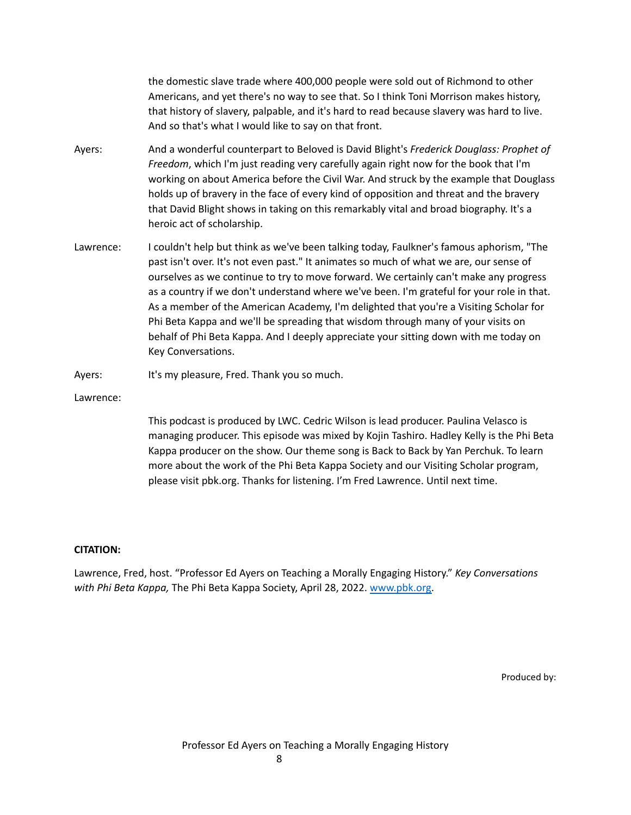the domestic slave trade where 400,000 people were sold out of Richmond to other Americans, and yet there's no way to see that. So I think Toni Morrison makes history, that history of slavery, palpable, and it's hard to read because slavery was hard to live. And so that's what I would like to say on that front.

- Ayers: And a wonderful counterpart to Beloved is David Blight's *Frederick Douglass: Prophet of Freedom*, which I'm just reading very carefully again right now for the book that I'm working on about America before the Civil War. And struck by the example that Douglass holds up of bravery in the face of every kind of opposition and threat and the bravery that David Blight shows in taking on this remarkably vital and broad biography. It's a heroic act of scholarship.
- Lawrence: I couldn't help but think as we've been talking today, Faulkner's famous aphorism, "The past isn't over. It's not even past." It animates so much of what we are, our sense of ourselves as we continue to try to move forward. We certainly can't make any progress as a country if we don't understand where we've been. I'm grateful for your role in that. As a member of the American Academy, I'm delighted that you're a Visiting Scholar for Phi Beta Kappa and we'll be spreading that wisdom through many of your visits on behalf of Phi Beta Kappa. And I deeply appreciate your sitting down with me today on Key Conversations.
- Ayers: It's my pleasure, Fred. Thank you so much.

Lawrence:

This podcast is produced by LWC. Cedric Wilson is lead producer. Paulina Velasco is managing producer. This episode was mixed by Kojin Tashiro. Hadley Kelly is the Phi Beta Kappa producer on the show. Our theme song is Back to Back by Yan Perchuk. To learn more about the work of the Phi Beta Kappa Society and our Visiting Scholar program, please visit pbk.org. Thanks for listening. I'm Fred Lawrence. Until next time.

## **CITATION:**

Lawrence, Fred, host. "Professor Ed Ayers on Teaching a Morally Engaging History." *Key Conversations with Phi Beta Kappa,* The Phi Beta Kappa Society, April 28, 2022. [www.pbk.org.](http://www.pbk.org)

Produced by: